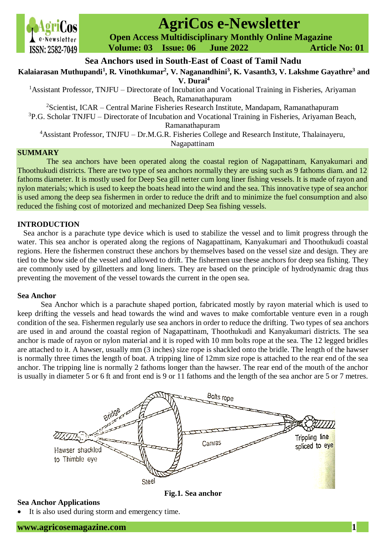

# **AgriCos e-Newsletter**

 **Open Access Multidisciplinary Monthly Online Magazine**

 **Volume: 03 Issue: 06 June 2022 Article No: 01**

**Sea Anchors used in South-East of Coast of Tamil Nadu**

**Kalaiarasan Muthupandi<sup>1</sup> , R. Vinothkumar<sup>2</sup> , V. Naganandhini<sup>3</sup> , K. Vasanth3, V. Lakshme Gayathre<sup>3</sup> and** 

**V. Durai<sup>4</sup>**

<sup>1</sup>Assistant Professor, TNJFU – Directorate of Incubation and Vocational Training in Fisheries, Ariyaman Beach, Ramanathapuram

<sup>2</sup>Scientist, ICAR – Central Marine Fisheries Research Institute, Mandapam, Ramanathapuram

 $3P.G.$  Scholar TNJFU – Directorate of Incubation and Vocational Training in Fisheries, Ariyaman Beach, Ramanathapuram

<sup>4</sup>Assistant Professor, TNJFU – Dr.M.G.R. Fisheries College and Research Institute, Thalainayeru,

Nagapattinam

## **SUMMARY**

The sea anchors have been operated along the coastal region of Nagapattinam, Kanyakumari and Thoothukudi districts. There are two type of sea anchors normally they are using such as 9 fathoms diam. and 12 fathoms diameter. It is mostly used for Deep Sea gill netter cum long liner fishing vessels. It is made of rayon and nylon materials; which is used to keep the boats head into the wind and the sea. This innovative type of sea anchor is used among the deep sea fishermen in order to reduce the drift and to minimize the fuel consumption and also reduced the fishing cost of motorized and mechanized Deep Sea fishing vessels.

## **INTRODUCTION**

Sea anchor is a parachute type device which is used to stabilize the vessel and to limit progress through the water. This sea anchor is operated along the regions of Nagapattinam, Kanyakumari and Thoothukudi coastal regions. Here the fishermen construct these anchors by themselves based on the vessel size and design. They are tied to the bow side of the vessel and allowed to drift. The fishermen use these anchors for deep sea fishing. They are commonly used by gillnetters and long liners. They are based on the principle of hydrodynamic drag thus preventing the movement of the vessel towards the current in the open sea.

#### **Sea Anchor**

Sea Anchor which is a parachute shaped portion, fabricated mostly by rayon material which is used to keep drifting the vessels and head towards the wind and waves to make comfortable venture even in a rough condition of the sea. Fishermen regularly use sea anchors in order to reduce the drifting. Two types of sea anchors are used in and around the coastal region of Nagapattinam, Thoothukudi and Kanyakumari districts. The sea anchor is made of rayon or nylon material and it is roped with 10 mm bolts rope at the sea. The 12 legged bridles are attached to it. A hawser, usually mm (3 inches) size rope is shackled onto the bridle. The length of the hawser is normally three times the length of boat. A tripping line of 12mm size rope is attached to the rear end of the sea anchor. The tripping line is normally 2 fathoms longer than the hawser. The rear end of the mouth of the anchor is usually in diameter 5 or 6 ft and front end is 9 or 11 fathoms and the length of the sea anchor are 5 or 7 metres.



**Sea Anchor Applications**

It is also used during storm and emergency time.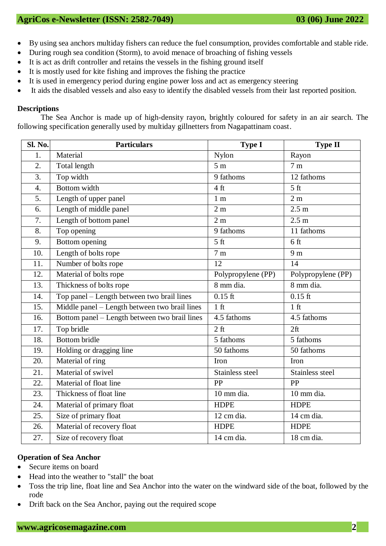- By using sea anchors multiday fishers can reduce the fuel consumption, provides comfortable and stable ride.
- During rough sea condition (Storm), to avoid menace of broaching of fishing vessels
- It is act as drift controller and retains the vessels in the fishing ground itself
- It is mostly used for kite fishing and improves the fishing the practice
- It is used in emergency period during engine power loss and act as emergency steering
- It aids the disabled vessels and also easy to identify the disabled vessels from their last reported position.

#### **Descriptions**

The Sea Anchor is made up of high-density rayon, brightly coloured for safety in an air search. The following specification generally used by multiday gillnetters from Nagapattinam coast.

| Sl. No.          | <b>Particulars</b>                            | <b>Type I</b>           | <b>Type II</b>            |
|------------------|-----------------------------------------------|-------------------------|---------------------------|
| 1.               | Material                                      | Nylon                   | Rayon                     |
| 2.               | Total length                                  | $\overline{5}$ m        | 7 <sub>m</sub>            |
| 3.               | Top width                                     | 9 fathoms               | 12 fathoms                |
| $\overline{4}$ . | <b>Bottom</b> width                           | 4 <sub>ft</sub>         | $\overline{5 \text{ ft}}$ |
| 5.               | Length of upper panel                         | 1 <sub>m</sub>          | 2 <sub>m</sub>            |
| 6.               | Length of middle panel                        | 2m                      | 2.5 <sub>m</sub>          |
| 7.               | Length of bottom panel                        | 2m                      | 2.5 m                     |
| 8.               | Top opening                                   | 9 fathoms               | 11 fathoms                |
| 9.               | Bottom opening                                | 5 <sub>ft</sub>         | 6 <sub>ft</sub>           |
| 10.              | Length of bolts rope                          | 7m                      | 9 <sub>m</sub>            |
| 11.              | Number of bolts rope                          | 12                      | 14                        |
| 12.              | Material of bolts rope                        | Polypropylene (PP)      | Polypropylene (PP)        |
| 13.              | Thickness of bolts rope                       | 8 mm dia.               | 8 mm dia.                 |
| 14.              | Top panel - Length between two brail lines    | $0.15$ ft               | $0.15$ ft                 |
| 15.              | Middle panel - Length between two brail lines | 1 <sub>f</sub>          | $1$ ft                    |
| 16.              | Bottom panel - Length between two brail lines | 4.5 fathoms             | 4.5 fathoms               |
| 17.              | Top bridle                                    | $\overline{2}$ ft       | 2ft                       |
| 18.              | <b>Bottom</b> bridle                          | 5 fathoms               | 5 fathoms                 |
| 19.              | Holding or dragging line                      | $\overline{50}$ fathoms | 50 fathoms                |
| 20.              | Material of ring                              | Iron                    | Iron                      |
| 21.              | Material of swivel                            | Stainless steel         | Stainless steel           |
| 22.              | Material of float line                        | PP                      | PP                        |
| 23.              | Thickness of float line                       | 10 mm dia.              | 10 mm dia.                |
| 24.              | Material of primary float                     | <b>HDPE</b>             | <b>HDPE</b>               |
| 25.              | Size of primary float                         | 12 cm dia.              | 14 cm dia.                |
| 26.              | Material of recovery float                    | <b>HDPE</b>             | <b>HDPE</b>               |
| 27.              | Size of recovery float                        | 14 cm dia.              | 18 cm dia.                |

# **Operation of Sea Anchor**

- Secure items on board
- Head into the weather to "stall" the boat
- Toss the trip line, float line and Sea Anchor into the water on the windward side of the boat, followed by the rode
- Drift back on the Sea Anchor, paying out the required scope